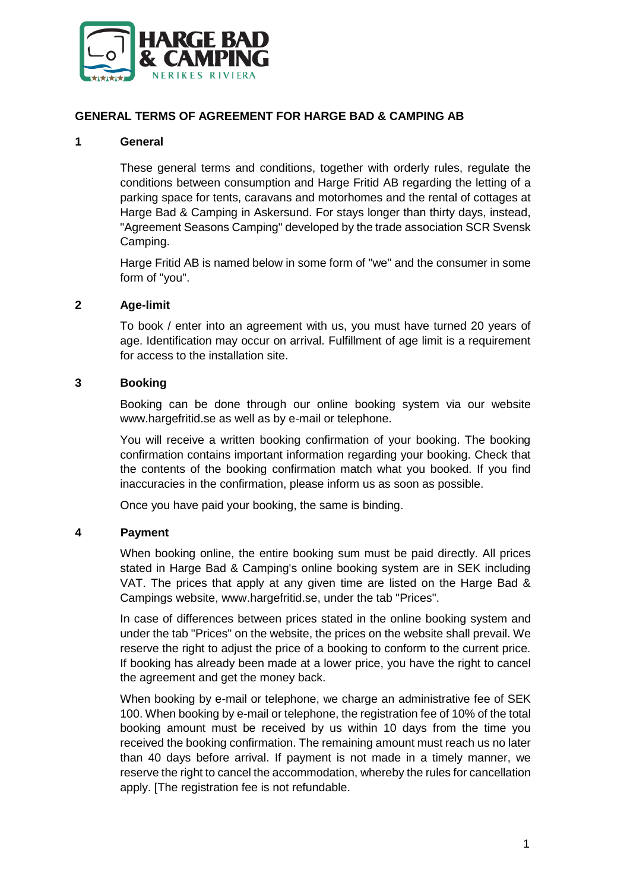

## **GENERAL TERMS OF AGREEMENT FOR HARGE BAD & CAMPING AB**

### **1 General**

These general terms and conditions, together with orderly rules, regulate the conditions between consumption and Harge Fritid AB regarding the letting of a parking space for tents, caravans and motorhomes and the rental of cottages at Harge Bad & Camping in Askersund. For stays longer than thirty days, instead, "Agreement Seasons Camping" developed by the trade association SCR Svensk Camping.

Harge Fritid AB is named below in some form of "we" and the consumer in some form of "you".

#### **2 Age-limit**

To book / enter into an agreement with us, you must have turned 20 years of age. Identification may occur on arrival. Fulfillment of age limit is a requirement for access to the installation site.

#### **3 Booking**

Booking can be done through our online booking system via our website www.hargefritid.se as well as by e-mail or telephone.

You will receive a written booking confirmation of your booking. The booking confirmation contains important information regarding your booking. Check that the contents of the booking confirmation match what you booked. If you find inaccuracies in the confirmation, please inform us as soon as possible.

Once you have paid your booking, the same is binding.

#### **4 Payment**

When booking online, the entire booking sum must be paid directly. All prices stated in Harge Bad & Camping's online booking system are in SEK including VAT. The prices that apply at any given time are listed on the Harge Bad & Campings website, www.hargefritid.se, under the tab "Prices".

In case of differences between prices stated in the online booking system and under the tab "Prices" on the website, the prices on the website shall prevail. We reserve the right to adjust the price of a booking to conform to the current price. If booking has already been made at a lower price, you have the right to cancel the agreement and get the money back.

When booking by e-mail or telephone, we charge an administrative fee of SEK 100. When booking by e-mail or telephone, the registration fee of 10% of the total booking amount must be received by us within 10 days from the time you received the booking confirmation. The remaining amount must reach us no later than 40 days before arrival. If payment is not made in a timely manner, we reserve the right to cancel the accommodation, whereby the rules for cancellation apply. [The registration fee is not refundable.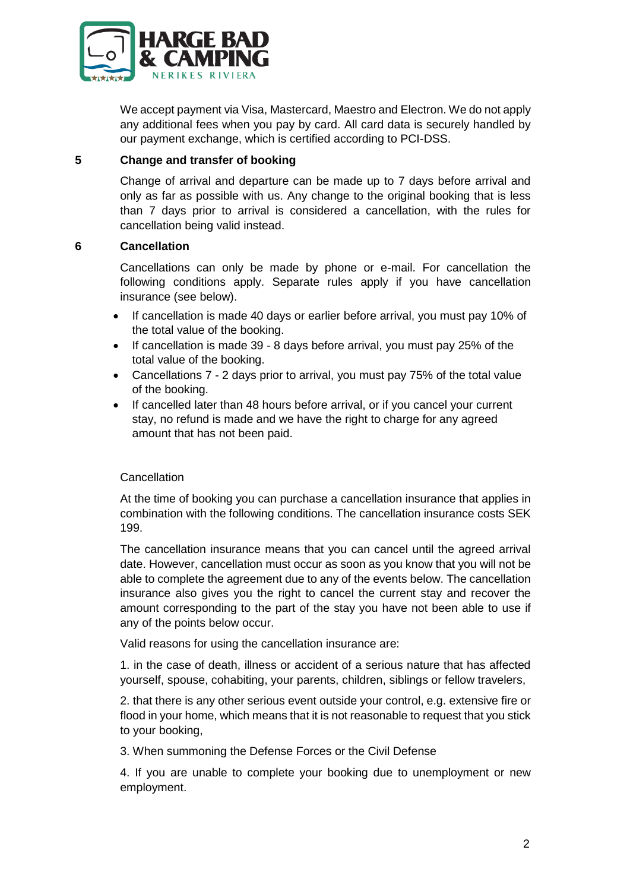

We accept payment via Visa, Mastercard, Maestro and Electron. We do not apply any additional fees when you pay by card. All card data is securely handled by our payment exchange, which is certified according to PCI-DSS.

## **5 Change and transfer of booking**

Change of arrival and departure can be made up to 7 days before arrival and only as far as possible with us. Any change to the original booking that is less than 7 days prior to arrival is considered a cancellation, with the rules for cancellation being valid instead.

## **6 Cancellation**

Cancellations can only be made by phone or e-mail. For cancellation the following conditions apply. Separate rules apply if you have cancellation insurance (see below).

- If cancellation is made 40 days or earlier before arrival, you must pay 10% of the total value of the booking.
- If cancellation is made 39 8 days before arrival, you must pay 25% of the total value of the booking.
- Cancellations 7 2 days prior to arrival, you must pay 75% of the total value of the booking.
- If cancelled later than 48 hours before arrival, or if you cancel your current stay, no refund is made and we have the right to charge for any agreed amount that has not been paid.

## **Cancellation**

At the time of booking you can purchase a cancellation insurance that applies in combination with the following conditions. The cancellation insurance costs SEK 199.

The cancellation insurance means that you can cancel until the agreed arrival date. However, cancellation must occur as soon as you know that you will not be able to complete the agreement due to any of the events below. The cancellation insurance also gives you the right to cancel the current stay and recover the amount corresponding to the part of the stay you have not been able to use if any of the points below occur.

Valid reasons for using the cancellation insurance are:

1. in the case of death, illness or accident of a serious nature that has affected yourself, spouse, cohabiting, your parents, children, siblings or fellow travelers,

2. that there is any other serious event outside your control, e.g. extensive fire or flood in your home, which means that it is not reasonable to request that you stick to your booking,

3. When summoning the Defense Forces or the Civil Defense

4. If you are unable to complete your booking due to unemployment or new employment.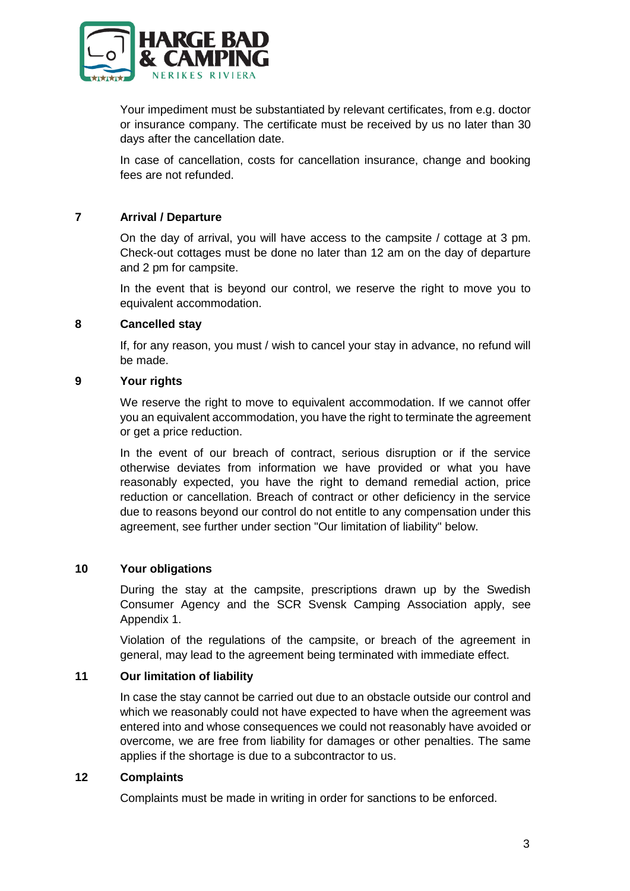

Your impediment must be substantiated by relevant certificates, from e.g. doctor or insurance company. The certificate must be received by us no later than 30 days after the cancellation date.

In case of cancellation, costs for cancellation insurance, change and booking fees are not refunded.

## **7 Arrival / Departure**

On the day of arrival, you will have access to the campsite / cottage at 3 pm. Check-out cottages must be done no later than 12 am on the day of departure and 2 pm for campsite.

In the event that is beyond our control, we reserve the right to move you to equivalent accommodation.

#### **8 Cancelled stay**

If, for any reason, you must / wish to cancel your stay in advance, no refund will be made.

#### **9 Your rights**

We reserve the right to move to equivalent accommodation. If we cannot offer you an equivalent accommodation, you have the right to terminate the agreement or get a price reduction.

In the event of our breach of contract, serious disruption or if the service otherwise deviates from information we have provided or what you have reasonably expected, you have the right to demand remedial action, price reduction or cancellation. Breach of contract or other deficiency in the service due to reasons beyond our control do not entitle to any compensation under this agreement, see further under section "Our limitation of liability" below.

## **10 Your obligations**

During the stay at the campsite, prescriptions drawn up by the Swedish Consumer Agency and the SCR Svensk Camping Association apply, see Appendix 1.

Violation of the regulations of the campsite, or breach of the agreement in general, may lead to the agreement being terminated with immediate effect.

## **11 Our limitation of liability**

In case the stay cannot be carried out due to an obstacle outside our control and which we reasonably could not have expected to have when the agreement was entered into and whose consequences we could not reasonably have avoided or overcome, we are free from liability for damages or other penalties. The same applies if the shortage is due to a subcontractor to us.

## **12 Complaints**

Complaints must be made in writing in order for sanctions to be enforced.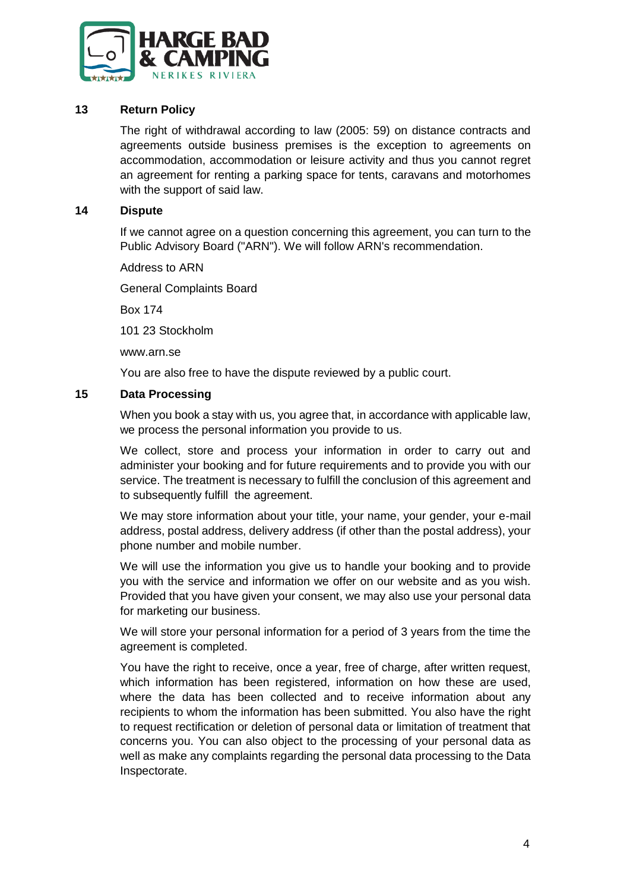

## **13 Return Policy**

The right of withdrawal according to law (2005: 59) on distance contracts and agreements outside business premises is the exception to agreements on accommodation, accommodation or leisure activity and thus you cannot regret an agreement for renting a parking space for tents, caravans and motorhomes with the support of said law.

#### **14 Dispute**

If we cannot agree on a question concerning this agreement, you can turn to the Public Advisory Board ("ARN"). We will follow ARN's recommendation.

Address to ARN

General Complaints Board

Box 174

101 23 Stockholm

www.arn.se

You are also free to have the dispute reviewed by a public court.

## **15 Data Processing**

When you book a stay with us, you agree that, in accordance with applicable law. we process the personal information you provide to us.

We collect, store and process your information in order to carry out and administer your booking and for future requirements and to provide you with our service. The treatment is necessary to fulfill the conclusion of this agreement and to subsequently fulfill the agreement.

We may store information about your title, your name, your gender, your e-mail address, postal address, delivery address (if other than the postal address), your phone number and mobile number.

We will use the information you give us to handle your booking and to provide you with the service and information we offer on our website and as you wish. Provided that you have given your consent, we may also use your personal data for marketing our business.

We will store your personal information for a period of 3 years from the time the agreement is completed.

You have the right to receive, once a year, free of charge, after written request, which information has been registered, information on how these are used. where the data has been collected and to receive information about any recipients to whom the information has been submitted. You also have the right to request rectification or deletion of personal data or limitation of treatment that concerns you. You can also object to the processing of your personal data as well as make any complaints regarding the personal data processing to the Data Inspectorate.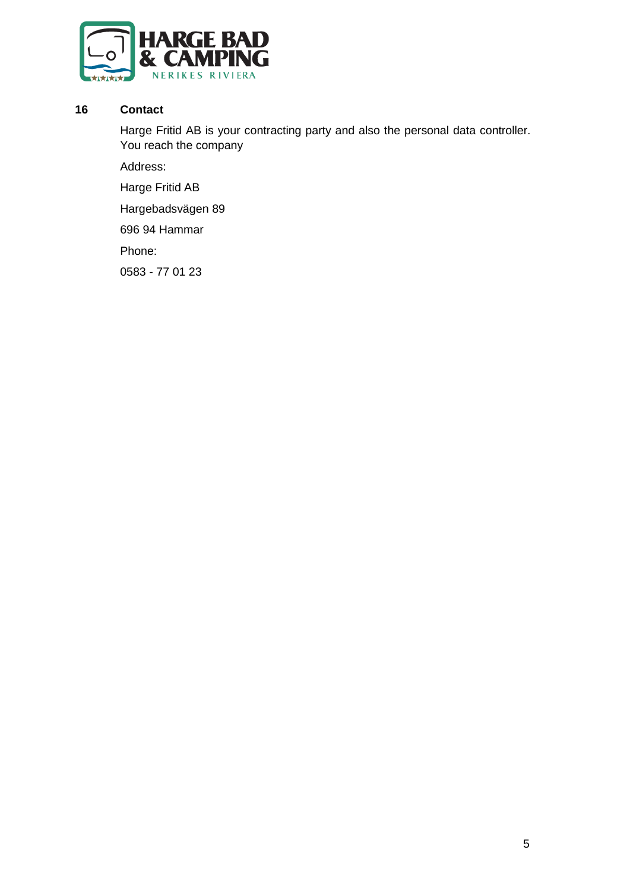

## **16 Contact**

Harge Fritid AB is your contracting party and also the personal data controller. You reach the company

Address:

Harge Fritid AB

Hargebadsvägen 89

696 94 Hammar

Phone:

0583 - 77 01 23